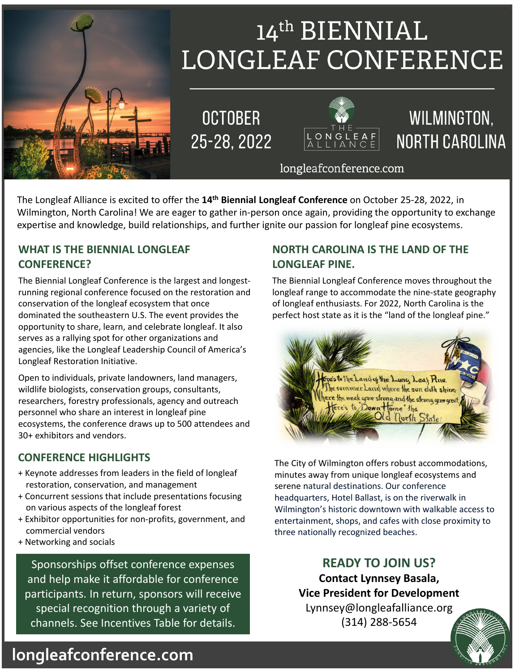

# 14th BIENNIAL **LONGLEAF CONFERENCE**

**OCTOBER** 25-28, 2022



# WILMINGTON. **NORTH CAROLINA**

#### longleafconference.com

The Longleaf Alliance is excited to offer the **14th Biennial Longleaf Conference** on October 25-28, 2022, in Wilmington, North Carolina! We are eager to gather in-person once again, providing the opportunity to exchange expertise and knowledge, build relationships, and further ignite our passion for longleaf pine ecosystems.

#### **WHAT IS THE BIENNIAL LONGLEAF CONFERENCE?**

The Biennial Longleaf Conference is the largest and longestrunning regional conference focused on the restoration and conservation of the longleaf ecosystem that once dominated the southeastern U.S. The event provides the opportunity to share, learn, and celebrate longleaf. It also serves as a rallying spot for other organizations and agencies, like the Longleaf Leadership Council of America's Longleaf Restoration Initiative.

Open to individuals, private landowners, land managers, wildlife biologists, conservation groups, consultants, researchers, forestry professionals, agency and outreach personnel who share an interest in longleaf pine ecosystems, the conference draws up to 500 attendees and 30+ exhibitors and vendors.

#### **CONFERENCE HIGHLIGHTS**

- + Keynote addresses from leaders in the field of longleaf restoration, conservation, and management
- + Concurrent sessions that include presentations focusing on various aspects of the longleaf forest
- + Exhibitor opportunities for non-profits, government, and commercial vendors
- + Networking and socials

Sponsorships offset conference expenses and help make it affordable for conference participants. In return, sponsors will receive special recognition through a variety of channels. See Incentives Table for details.

#### **NORTH CAROLINA IS THE LAND OF THE LONGLEAF PINE.**

The Biennial Longleaf Conference moves throughout the longleaf range to accommodate the nine-state geography of longleaf enthusiasts. For 2022, North Carolina is the perfect host state as it is the "land of the longleaf pine."



The City of Wilmington offers robust accommodations, minutes away from unique longleaf ecosystems and serene natural destinations. Our conference headquarters, Hotel Ballast, is on the riverwalk in Wilmington's historic downtown with walkable access to entertainment, shops, and cafes with close proximity to three nationally recognized beaches.

> **READY TO JOIN US? Contact Lynnsey Basala, Vice President for Development**  Lynnsey@longleafalliance.org (314) 288-5654



### **longleafconference.com**